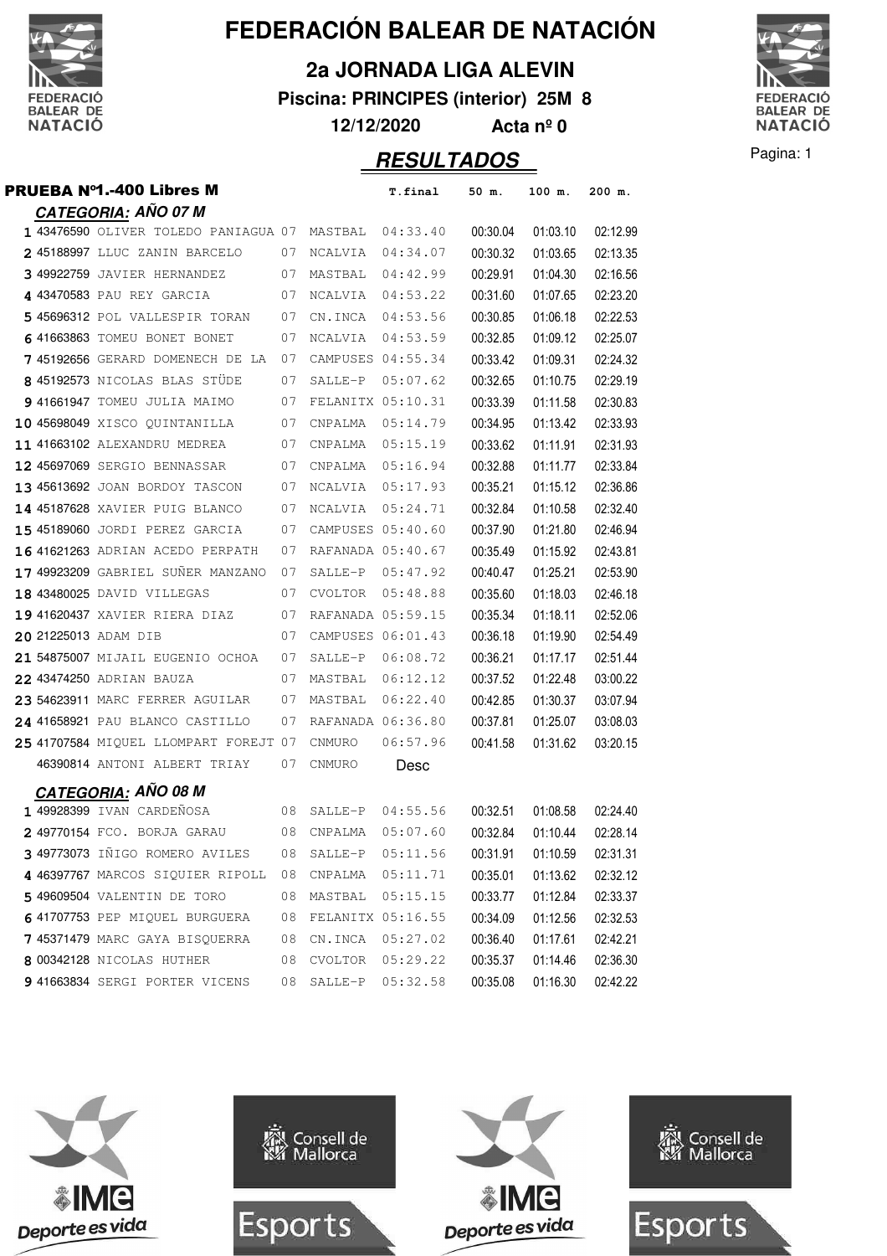

**2a JORNADA LIGA ALEVIN**

**Piscina: PRINCIPES (interior) 25M 8**

**12/12/2020 Acta nº 0**



| <b>PRUEBA Nº1.-400 Libres M</b>                       |    |                  | T.final           | 50 m.    | 100 m.   | 200 m.   |
|-------------------------------------------------------|----|------------------|-------------------|----------|----------|----------|
| <b>CATEGORIA: AÑO 07 M</b>                            |    |                  |                   |          |          |          |
| 1 43476590 OLIVER TOLEDO PANIAGUA 07 MASTBAL 04:33.40 |    |                  |                   | 00:30.04 | 01:03.10 | 02:12.99 |
| 2 45188997 LLUC ZANIN BARCELO                         | 07 | NCALVIA          | 04:34.07          | 00:30.32 | 01:03.65 | 02:13.35 |
| 3 49922759 JAVIER HERNANDEZ                           | 07 | MASTBAL          | 04:42.99          | 00:29.91 | 01:04.30 | 02:16.56 |
| 4 43470583 PAU REY GARCIA                             | 07 | NCALVIA          | 04:53.22          | 00:31.60 | 01:07.65 | 02:23.20 |
| 5 45696312 POL VALLESPIR TORAN                        | 07 | CN.INCA          | 04:53.56          | 00:30.85 | 01:06.18 | 02:22.53 |
| 6 41663863 TOMEU BONET BONET                          | 07 | NCALVIA          | 04:53.59          | 00:32.85 | 01:09.12 | 02:25.07 |
| 745192656 GERARD DOMENECH DE LA                       | 07 |                  | CAMPUSES 04:55.34 | 00:33.42 | 01:09.31 | 02:24.32 |
| 8 45192573 NICOLAS BLAS STÜDE                         | 07 | SALLE-P          | 05:07.62          | 00:32.65 | 01:10.75 | 02:29.19 |
| 9 41661947 TOMEU JULIA MAIMO                          | 07 |                  | FELANITX 05:10.31 | 00:33.39 | 01:11.58 | 02:30.83 |
| 10 45698049 XISCO QUINTANILLA                         | 07 | CNPALMA          | 05:14.79          | 00:34.95 | 01:13.42 | 02:33.93 |
| 11 41663102 ALEXANDRU MEDREA                          | 07 | CNPALMA          | 05:15.19          | 00:33.62 | 01:11.91 | 02:31.93 |
| 12 45697069 SERGIO BENNASSAR                          | 07 | CNPALMA          | 05:16.94          | 00:32.88 | 01:11.77 | 02:33.84 |
| 13 45613692 JOAN BORDOY TASCON                        | 07 | NCALVIA          | 05:17.93          | 00:35.21 | 01:15.12 | 02:36.86 |
| 14 45187628 XAVIER PUIG BLANCO                        | 07 | NCALVIA          | 05:24.71          | 00:32.84 | 01:10.58 | 02:32.40 |
| 15 45189060 JORDI PEREZ GARCIA                        | 07 |                  | CAMPUSES 05:40.60 | 00:37.90 | 01:21.80 | 02:46.94 |
| 16 41621263 ADRIAN ACEDO PERPATH                      | 07 |                  | RAFANADA 05:40.67 | 00:35.49 | 01:15.92 | 02:43.81 |
| 17 49923209 GABRIEL SUÑER MANZANO                     | 07 |                  | SALLE-P 05:47.92  | 00:40.47 | 01:25.21 | 02:53.90 |
| 18 43480025 DAVID VILLEGAS                            | 07 | <b>CVOLTOR</b>   | 05:48.88          | 00:35.60 | 01:18.03 | 02:46.18 |
| 19 41620437 XAVIER RIERA DIAZ                         | 07 |                  | RAFANADA 05:59.15 | 00:35.34 | 01:18.11 | 02:52.06 |
| 20 21225013 ADAM DIB                                  | 07 |                  | CAMPUSES 06:01.43 | 00:36.18 | 01:19.90 | 02:54.49 |
| 21 54875007 MIJAIL EUGENIO OCHOA                      | 07 | SALLE-P          | 06:08.72          | 00:36.21 | 01:17.17 | 02:51.44 |
| 22 43474250 ADRIAN BAUZA                              | 07 | MASTBAL 06:12.12 |                   | 00:37.52 | 01:22.48 | 03:00.22 |
| 23 54623911 MARC FERRER AGUILAR                       | 07 | MASTBAL          | 06:22.40          | 00:42.85 | 01:30.37 | 03:07.94 |
| 24 41658921 PAU BLANCO CASTILLO                       | 07 |                  | RAFANADA 06:36.80 | 00:37.81 | 01:25.07 | 03:08.03 |
| 25 41707584 MIQUEL LLOMPART FOREJT 07                 |    | CNMURO           | 06:57.96          | 00:41.58 | 01:31.62 | 03:20.15 |
| 46390814 ANTONI ALBERT TRIAY                          | 07 | CNMURO           | Desc              |          |          |          |
| <u>CATEGORIA</u> : AÑO 08 M                           |    |                  |                   |          |          |          |
| 1 49928399 IVAN CARDEÑOSA                             | 08 | SALLE-P          | 04:55.56          | 00:32.51 | 01:08.58 | 02:24.40 |
| 2 49770154 FCO. BORJA GARAU                           |    | 08 CNPALMA       | 05:07.60          | 00:32.84 | 01:10.44 | 02:28.14 |
| 3 49773073 IÑIGO ROMERO AVILES                        | 08 | SALLE-P          | 05:11.56          | 00:31.91 | 01:10.59 | 02:31.31 |
| 4 46397767 MARCOS SIQUIER RIPOLL                      | 08 | CNPALMA          | 05:11.71          | 00:35.01 | 01:13.62 | 02:32.12 |
| 5 49609504 VALENTIN DE TORO                           | 08 | MASTBAL          | 05:15.15          | 00:33.77 | 01:12.84 | 02:33.37 |
| 641707753 PEP MIOUEL BURGUERA                         | 08 |                  | FELANITX 05:16.55 | 00:34.09 | 01:12.56 | 02:32.53 |
| 7 45371479 MARC GAYA BISOUERRA                        | 08 | CN.INCA          | 05:27.02          | 00:36.40 | 01:17.61 | 02:42.21 |
| 8 00342128 NICOLAS HUTHER                             | 08 | <b>CVOLTOR</b>   | 05:29.22          | 00:35.37 | 01:14.46 | 02:36.30 |
| 9 41663834 SERGI PORTER VICENS                        | 08 | SALLE-P          | 05:32.58          | 00:35.08 | 01:16.30 | 02:42.22 |

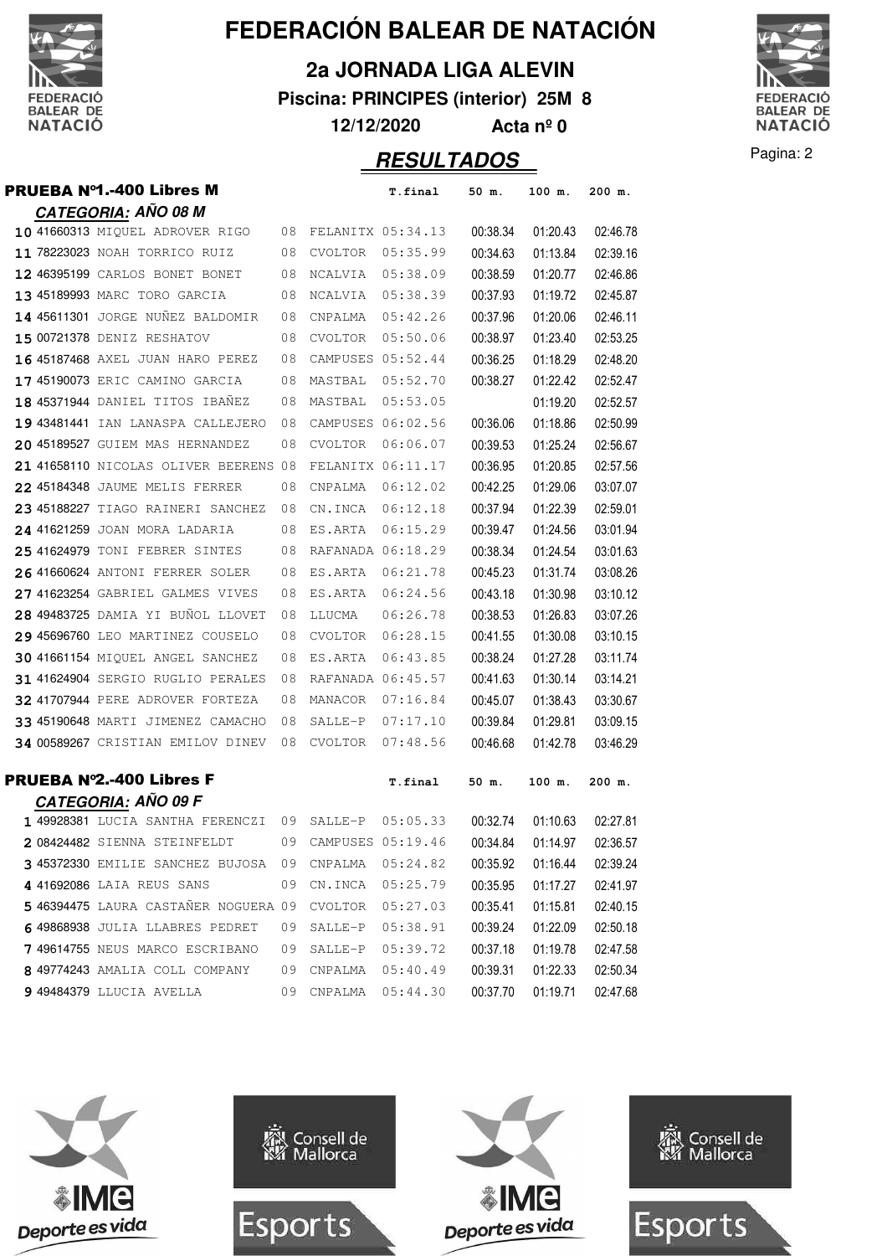

**2a JORNADA LIGA ALEVIN**

**Piscina: PRINCIPES (interior) 25M 8**

**12/12/2020 Acta nº 0**

#### Pagina: 2 **RESULTADOS**



|  | <b>PRUEBA Nº1.-400 Libres M</b>             |    |                      | T.final           | 50 m.    | 100 m.   | 200 m.   |
|--|---------------------------------------------|----|----------------------|-------------------|----------|----------|----------|
|  | <b>CATEGORIA: AÑO 08 M</b>                  |    |                      |                   |          |          |          |
|  | 10 41660313 MIQUEL ADROVER RIGO             |    | 08 FELANITX 05:34.13 |                   | 00:38.34 | 01:20.43 | 02:46.78 |
|  | 11 78223023 NOAH TORRICO RUIZ               | 08 | CVOLTOR              | 05:35.99          | 00:34.63 | 01:13.84 | 02:39.16 |
|  | 12 46395199 CARLOS BONET BONET              | 08 | NCALVIA              | 05:38.09          | 00:38.59 | 01:20.77 | 02:46.86 |
|  | 13 45189993 MARC TORO GARCIA                | 08 | NCALVIA              | 05:38.39          | 00:37.93 | 01:19.72 | 02:45.87 |
|  | 14 45611301 JORGE NUÑEZ BALDOMIR            | 08 | CNPALMA              | 05:42.26          | 00:37.96 | 01:20.06 | 02:46.11 |
|  | 15 00721378 DENIZ RESHATOV                  | 08 | <b>CVOLTOR</b>       | 05:50.06          | 00:38.97 | 01:23.40 | 02:53.25 |
|  | 16 45187468 AXEL JUAN HARO PEREZ            | 08 | CAMPUSES 05:52.44    |                   | 00:36.25 | 01:18.29 | 02:48.20 |
|  | 17 45190073 ERIC CAMINO GARCIA              | 08 | MASTBAL              | 05:52.70          | 00:38.27 | 01:22.42 | 02:52.47 |
|  | 18 45371944 DANIEL TITOS IBAÑEZ             | 08 | MASTBAL              | 05:53.05          |          | 01:19.20 | 02:52.57 |
|  | 19 43481441 IAN LANASPA CALLEJERO           | 08 |                      | CAMPUSES 06:02.56 | 00:36.06 | 01:18.86 | 02:50.99 |
|  | 20 45189527 GUIEM MAS HERNANDEZ             | 08 | <b>CVOLTOR</b>       | 06:06.07          | 00:39.53 | 01:25.24 | 02:56.67 |
|  | 21 41658110 NICOLAS OLIVER BEERENS 08       |    | FELANITX 06:11.17    |                   | 00:36.95 | 01:20.85 | 02:57.56 |
|  | 22 45184348 JAUME MELIS FERRER              | 08 | CNPALMA              | 06:12.02          | 00:42.25 | 01:29.06 | 03:07.07 |
|  | 23 45188227 TIAGO RAINERI SANCHEZ           | 08 | CN.INCA              | 06:12.18          | 00:37.94 | 01:22.39 | 02:59.01 |
|  | 24 41621259 JOAN MORA LADARIA               | 08 | ES.ARTA              | 06:15.29          | 00:39.47 | 01:24.56 | 03:01.94 |
|  | 25 41624979 TONI FEBRER SINTES              | 08 |                      | RAFANADA 06:18.29 | 00:38.34 | 01:24.54 | 03:01.63 |
|  | 26 41660624 ANTONI FERRER SOLER             | 08 | ES.ARTA              | 06:21.78          | 00:45.23 | 01:31.74 | 03:08.26 |
|  | 27 41623254 GABRIEL GALMES VIVES            | 08 | ES.ARTA              | 06:24.56          | 00:43.18 | 01:30.98 | 03:10.12 |
|  | 28 49483725 DAMIA YI BUÑOL LLOVET           | 08 | LLUCMA               | 06:26.78          | 00:38.53 | 01:26.83 | 03:07.26 |
|  | 29 45696760 LEO MARTINEZ COUSELO            | 08 | CVOLTOR              | 06:28.15          | 00:41.55 | 01:30.08 | 03:10.15 |
|  | 30 41661154 MIQUEL ANGEL SANCHEZ            | 08 | ES.ARTA              | 06:43.85          | 00:38.24 | 01:27.28 | 03:11.74 |
|  | 31 41624904 SERGIO RUGLIO PERALES           | 08 | RAFANADA 06:45.57    |                   | 00:41.63 | 01:30.14 | 03:14.21 |
|  | 32 41707944 PERE ADROVER FORTEZA            | 08 | MANACOR              | 07:16.84          | 00:45.07 | 01:38.43 | 03:30.67 |
|  | 33 45190648 MARTI JIMENEZ CAMACHO           | 08 | $SALLE-P$            | 07:17.10          | 00:39.84 | 01:29.81 | 03:09.15 |
|  | 34 00589267 CRISTIAN EMILOV DINEV           | 08 | CVOLTOR              | 07:48.56          | 00:46.68 | 01:42.78 | 03:46.29 |
|  | <b>PRUEBA Nº2.-400 Libres F</b>             |    |                      | T.final           | 50 m.    | 100 m.   | 200 m.   |
|  | <b>CATEGORIA: AÑO 09 F</b>                  |    |                      |                   |          |          |          |
|  | 1 49928381 LUCIA SANTHA FERENCZI            | 09 | SALLE-P              | 05:05.33          | 00:32.74 | 01:10.63 | 02:27.81 |
|  | 2 08424482 SIENNA STEINFELDT                | 09 | CAMPUSES 05:19.46    |                   | 00:34.84 | 01:14.97 | 02:36.57 |
|  | 3 45372330 EMILIE SANCHEZ BUJOSA 09 CNPALMA |    |                      | 05:24.82          | 00:35.92 | 01:16.44 | 02:39.24 |
|  | 4 41692086 LAIA REUS SANS                   | 09 | CN.INCA 05:25.79     |                   | 00:35.95 | 01:17.27 | 02:41.97 |
|  | 546394475 LAURA CASTANER NOGUERA 09         |    | CVOLTOR 05:27.03     |                   | 00:35.41 | 01:15.81 | 02:40.15 |
|  | 649868938 JULIA LLABRES PEDRET              | 09 | SALLE-P              | 05:38.91          | 00:39.24 | 01:22.09 | 02:50.18 |
|  | 7 49614755 NEUS MARCO ESCRIBANO             | 09 |                      | SALLE-P 05:39.72  | 00:37.18 | 01:19.78 | 02:47.58 |
|  | 8 49774243 AMALIA COLL COMPANY              | 09 | CNPALMA  05:40.49    |                   | 00:39.31 | 01:22.33 | 02:50.34 |
|  | <b>9 49484379 LLUCIA AVELLA</b>             | 09 | CNPALMA              | 05:44.30          | 00:37.70 | 01:19.71 | 02:47.68 |

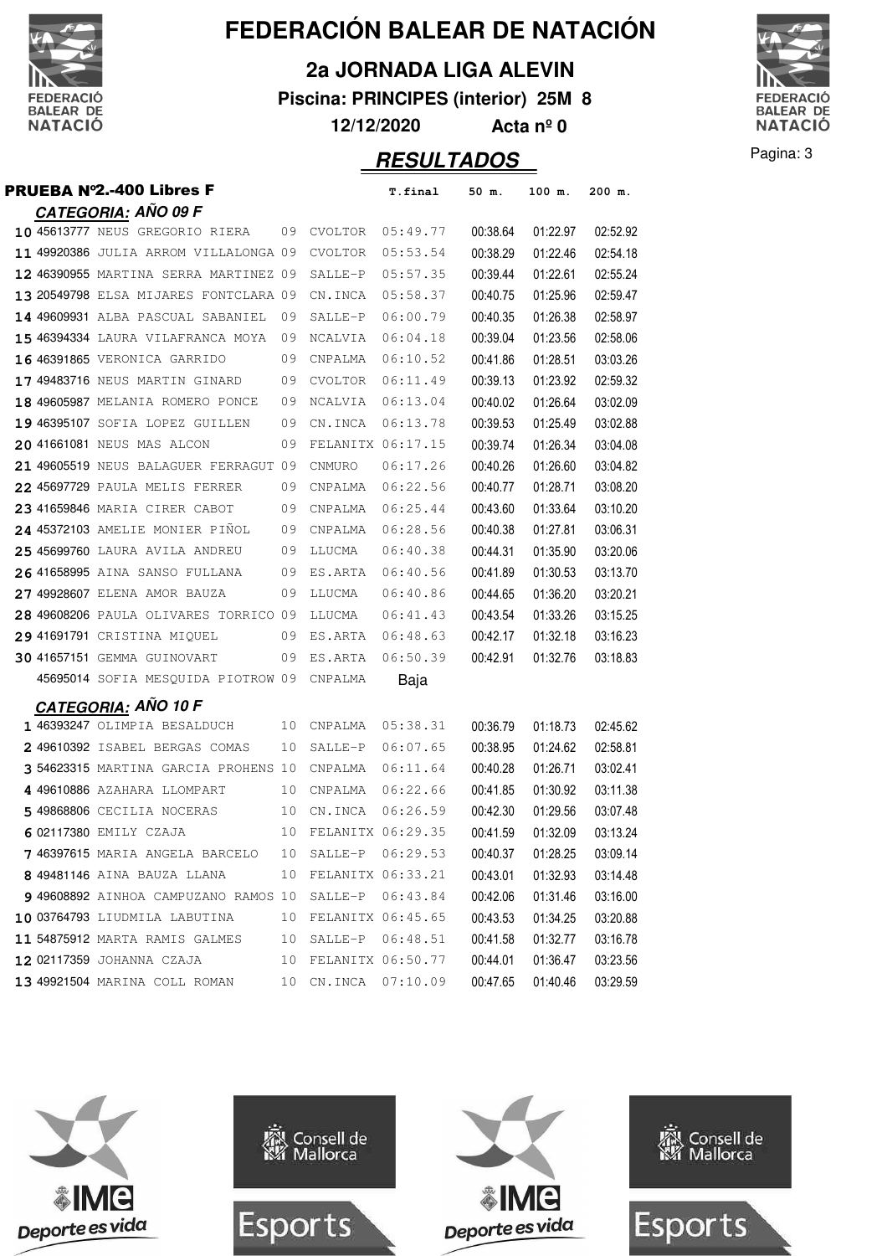

**2a JORNADA LIGA ALEVIN**

**Piscina: PRINCIPES (interior) 25M 8**

**12/12/2020 Acta nº 0**



| <b>PRUEBA Nº2.-400 Libres F</b>       |    |                   | T.final           | 50 m.    | 100 m.   | 200 m.   |
|---------------------------------------|----|-------------------|-------------------|----------|----------|----------|
| CATEGORIA: AÑO 09 F                   |    |                   |                   |          |          |          |
| 10 45613777 NEUS GREGORIO RIERA       |    | 09 CVOLTOR        | 05:49.77          | 00:38.64 | 01:22.97 | 02:52.92 |
| 11 49920386 JULIA ARROM VILLALONGA 09 |    | CVOLTOR           | 05:53.54          | 00:38.29 | 01:22.46 | 02:54.18 |
| 12 46390955 MARTINA SERRA MARTINEZ 09 |    | SALLE-P           | 05:57.35          | 00:39.44 | 01:22.61 | 02:55.24 |
| 13 20549798 ELSA MIJARES FONTCLARA 09 |    | CN.INCA           | 05:58.37          | 00:40.75 | 01:25.96 | 02:59.47 |
| 14 49609931 ALBA PASCUAL SABANIEL     | 09 | SALLE-P           | 06:00.79          | 00:40.35 | 01:26.38 | 02:58.97 |
| 15 46394334 LAURA VILAFRANCA MOYA     | 09 | NCALVIA           | 06:04.18          | 00:39.04 | 01:23.56 | 02:58.06 |
| 16 46391865 VERONICA GARRIDO          | 09 | CNPALMA           | 06:10.52          | 00:41.86 | 01:28.51 | 03:03.26 |
| 17 49483716 NEUS MARTIN GINARD        | 09 | <b>CVOLTOR</b>    | 06:11.49          | 00:39.13 | 01:23.92 | 02:59.32 |
| 18 49605987 MELANIA ROMERO PONCE      | 09 | NCALVIA           | 06:13.04          | 00:40.02 | 01:26.64 | 03:02.09 |
| 19 46395107 SOFIA LOPEZ GUILLEN       | 09 | CN.INCA           | 06:13.78          | 00:39.53 | 01:25.49 | 03:02.88 |
| 20 41661081 NEUS MAS ALCON            | 09 |                   | FELANITX 06:17.15 | 00:39.74 | 01:26.34 | 03:04.08 |
| 21 49605519 NEUS BALAGUER FERRAGUT 09 |    | CNMURO            | 06:17.26          | 00:40.26 | 01:26.60 | 03:04.82 |
| 22 45697729 PAULA MELIS FERRER        | 09 | CNPALMA           | 06:22.56          | 00:40.77 | 01:28.71 | 03:08.20 |
| 23 41659846 MARIA CIRER CABOT         | 09 | CNPALMA           | 06:25.44          | 00:43.60 | 01:33.64 | 03:10.20 |
| 24 45372103 AMELIE MONIER PIÑOL       | 09 | CNPALMA           | 06:28.56          | 00:40.38 | 01:27.81 | 03:06.31 |
| 25 45699760 LAURA AVILA ANDREU        | 09 | LLUCMA            | 06:40.38          | 00:44.31 | 01:35.90 | 03:20.06 |
| 26 41658995 AINA SANSO FULLANA        | 09 | ES.ARTA           | 06:40.56          | 00:41.89 | 01:30.53 | 03:13.70 |
| 27 49928607 ELENA AMOR BAUZA          | 09 | LLUCMA            | 06:40.86          | 00:44.65 | 01:36.20 | 03:20.21 |
| 28 49608206 PAULA OLIVARES TORRICO 09 |    | LLUCMA            | 06:41.43          | 00:43.54 | 01:33.26 | 03:15.25 |
| 29 41691791 CRISTINA MIQUEL           | 09 | ES.ARTA           | 06:48.63          | 00:42.17 | 01:32.18 | 03:16.23 |
| <b>30 41657151 GEMMA GUINOVART</b>    | 09 | ES.ARTA           | 06:50.39          | 00:42.91 | 01:32.76 | 03:18.83 |
| 45695014 SOFIA MESQUIDA PIOTROW 09    |    | CNPALMA           | Baja              |          |          |          |
| <b>CATEGORIA: ANO 10 F</b>            |    |                   |                   |          |          |          |
| 1 46393247 OLIMPIA BESALDUCH          | 10 | CNPALMA           | 05:38.31          | 00:36.79 | 01:18.73 | 02:45.62 |
| 2 49610392 ISABEL BERGAS COMAS        | 10 | SALLE-P           | 06:07.65          | 00:38.95 | 01:24.62 | 02:58.81 |
| 3 54623315 MARTINA GARCIA PROHENS 10  |    | CNPALMA           | 06:11.64          | 00:40.28 | 01:26.71 | 03:02.41 |
| 4 49610886 AZAHARA LLOMPART           | 10 | CNPALMA           | 06:22.66          | 00:41.85 | 01:30.92 | 03:11.38 |
| 5 49868806 CECILIA NOCERAS            | 10 | CN.INCA           | 06:26.59          | 00:42.30 | 01:29.56 | 03:07.48 |
| 6 02117380 EMILY CZAJA                | 10 | FELANITX 06:29.35 |                   | 00:41.59 | 01:32.09 | 03:13.24 |
| 7 46397615 MARIA ANGELA BARCELO       | 10 | SALLE-P           | 06:29.53          | 00:40.37 | 01:28.25 | 03:09.14 |
| 8 49481146 AINA BAUZA LLANA           | 10 |                   | FELANITX 06:33.21 | 00:43.01 | 01:32.93 | 03:14.48 |
| 9 49608892 AINHOA CAMPUZANO RAMOS 10  |    |                   | SALLE-P 06:43.84  | 00:42.06 | 01:31.46 | 03:16.00 |
| 10 03764793 LIUDMILA LABUTINA         | 10 |                   | FELANITX 06:45.65 | 00:43.53 | 01:34.25 | 03:20.88 |
| 11 54875912 MARTA RAMIS GALMES        | 10 | SALLE-P           | 06:48.51          | 00:41.58 | 01:32.77 | 03:16.78 |
| 12 02117359 JOHANNA CZAJA             | 10 |                   | FELANITX 06:50.77 | 00:44.01 | 01:36.47 | 03:23.56 |
| 13 49921504 MARINA COLL ROMAN         | 10 | CN.INCA           | 07:10.09          | 00:47.65 | 01:40.46 | 03:29.59 |

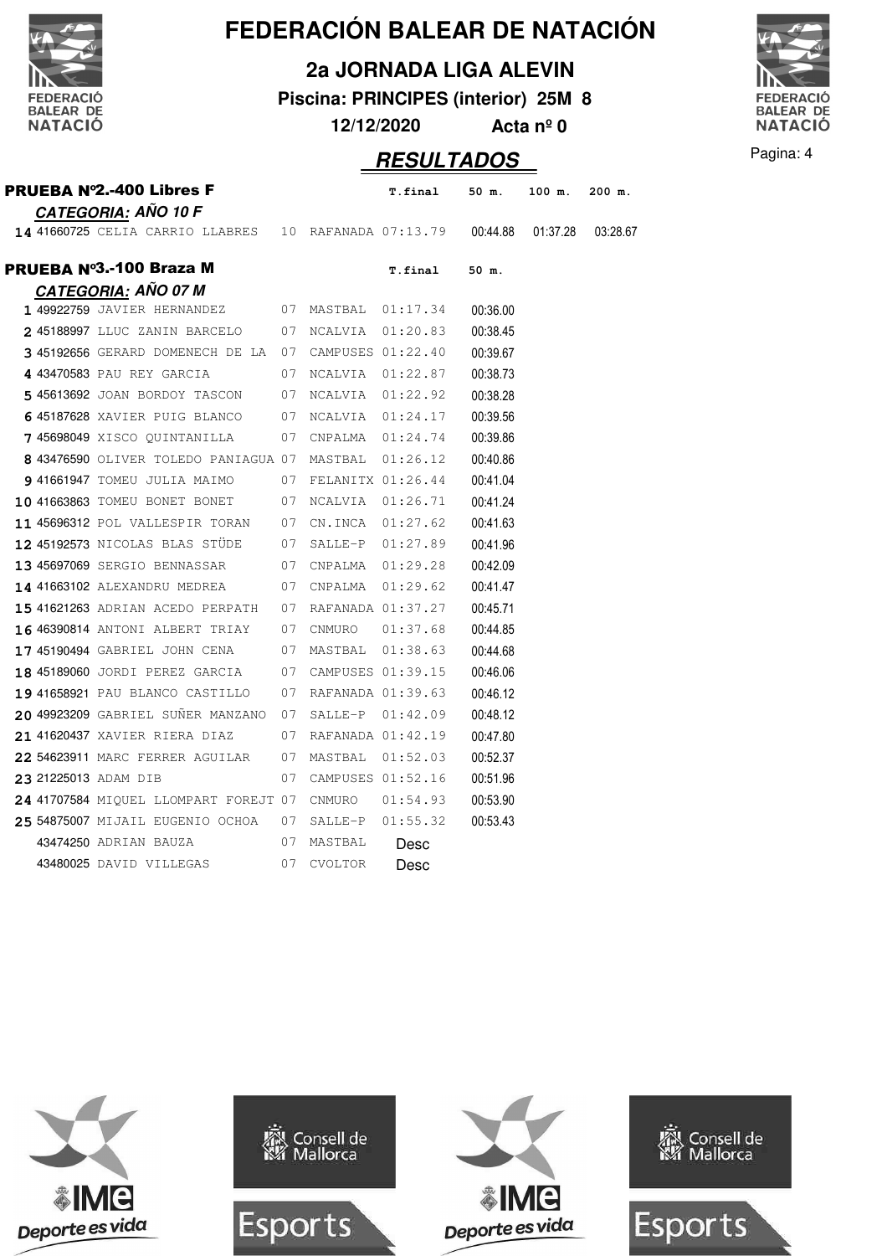

**2a JORNADA LIGA ALEVIN**

**Piscina: PRINCIPES (interior) 25M 8**

**12/12/2020 Acta nº 0**



### **RESULTADOS** Pagina: 4

|  | <u>CATEGORIA:</u> AÑO 10 F                                     |    |                |                   |          |          |          |
|--|----------------------------------------------------------------|----|----------------|-------------------|----------|----------|----------|
|  | 14 41660725 CELIA CARRIO LLABRES 10 RAFANADA 07:13.79 00:44.88 |    |                |                   |          | 01:37.28 | 03:28.67 |
|  | PRUEBA №3.-100 Braza M                                         |    |                | T.final           | 50 m.    |          |          |
|  | <b>CATEGORIA: AÑO 07 M</b>                                     |    |                |                   |          |          |          |
|  | 1 49922759 JAVIER HERNANDEZ 07 MASTBAL 01:17.34                |    |                |                   | 00:36.00 |          |          |
|  | 245188997 LLUC ZANIN BARCELO 07                                |    |                | NCALVIA 01:20.83  | 00:38.45 |          |          |
|  | 3 45192656 GERARD DOMENECH DE LA 07                            |    |                | CAMPUSES 01:22.40 | 00:39.67 |          |          |
|  | 4 43470583 PAU REY GARCIA                                      | 07 |                | NCALVIA 01:22.87  | 00:38.73 |          |          |
|  | 5 45613692 JOAN BORDOY TASCON 07                               |    | NCALVIA        | 01:22.92          | 00:38.28 |          |          |
|  | 6 45187628 XAVIER PUIG BLANCO 07                               |    |                | NCALVIA 01:24.17  | 00:39.56 |          |          |
|  | 7 45698049 XISCO QUINTANILLA 07                                |    | CNPALMA        | 01:24.74          | 00:39.86 |          |          |
|  | 8 43476590 OLIVER TOLEDO PANIAGUA 07                           |    | MASTBAL        | 01:26.12          | 00:40.86 |          |          |
|  | 9 41661947 TOMEU JULIA MAIMO<br>07                             |    |                | FELANITX 01:26.44 | 00:41.04 |          |          |
|  | 10 41663863 TOMEU BONET BONET<br>07                            |    | NCALVIA        | 01:26.71          | 00:41.24 |          |          |
|  | 11 45696312 POL VALLESPIR TORAN 07                             |    | CN.INCA        | 01:27.62          | 00:41.63 |          |          |
|  | 12 45192573 NICOLAS BLAS STÜDE 07                              |    |                | SALLE-P 01:27.89  | 00:41.96 |          |          |
|  | 13 45697069 SERGIO BENNASSAR<br>07                             |    |                | CNPALMA 01:29.28  | 00:42.09 |          |          |
|  | <b>14 41663102 ALEXANDRU MEDREA</b>                            | 07 |                | CNPALMA  01:29.62 | 00:41.47 |          |          |
|  | <b>15 41621263</b> ADRIAN ACEDO PERPATH 07                     |    |                | RAFANADA 01:37.27 | 00:45.71 |          |          |
|  | <b>16 46390814 ANTONI ALBERT TRIAY 07</b>                      |    | CNMURO         | 01:37.68          | 00:44.85 |          |          |
|  | 17 45190494 GABRIEL JOHN CENA                                  | 07 |                | MASTBAL 01:38.63  | 00:44.68 |          |          |
|  | 18 45189060 JORDI PEREZ GARCIA 07 CAMPUSES 01:39.15            |    |                |                   | 00:46.06 |          |          |
|  | 19 41658921 PAU BLANCO CASTILLO                                | 07 |                | RAFANADA 01:39.63 | 00:46.12 |          |          |
|  | 20 49923209 GABRIEL SUÑER MANZANO 07                           |    | SALLE-P        | 01:42.09          | 00:48.12 |          |          |
|  | 21 41620437 XAVIER RIERA DIAZ                                  | 07 |                | RAFANADA 01:42.19 | 00:47.80 |          |          |
|  | 22 54623911 MARC FERRER AGUILAR 07                             |    | MASTBAL        | 01:52.03          | 00:52.37 |          |          |
|  | 23 21225013 ADAM DIB                                           | 07 |                | CAMPUSES 01:52.16 | 00:51.96 |          |          |
|  | 24 41707584 MIQUEL LLOMPART FOREJT 07                          |    | CNMURO         | 01:54.93          | 00:53.90 |          |          |
|  | 25 54875007 MIJAIL EUGENIO OCHOA                               | 07 | SALLE-P        | 01:55.32          | 00:53.43 |          |          |
|  | 43474250 ADRIAN BAUZA                                          | 07 | MASTBAL        | Desc              |          |          |          |
|  | 43480025 DAVID VILLEGAS                                        | 07 | <b>CVOLTOR</b> | Desc              |          |          |          |
|  |                                                                |    |                |                   |          |          |          |

PRUEBA Nº2.-400 Libres F **T.final 50 m. 100 m. 200 m.**







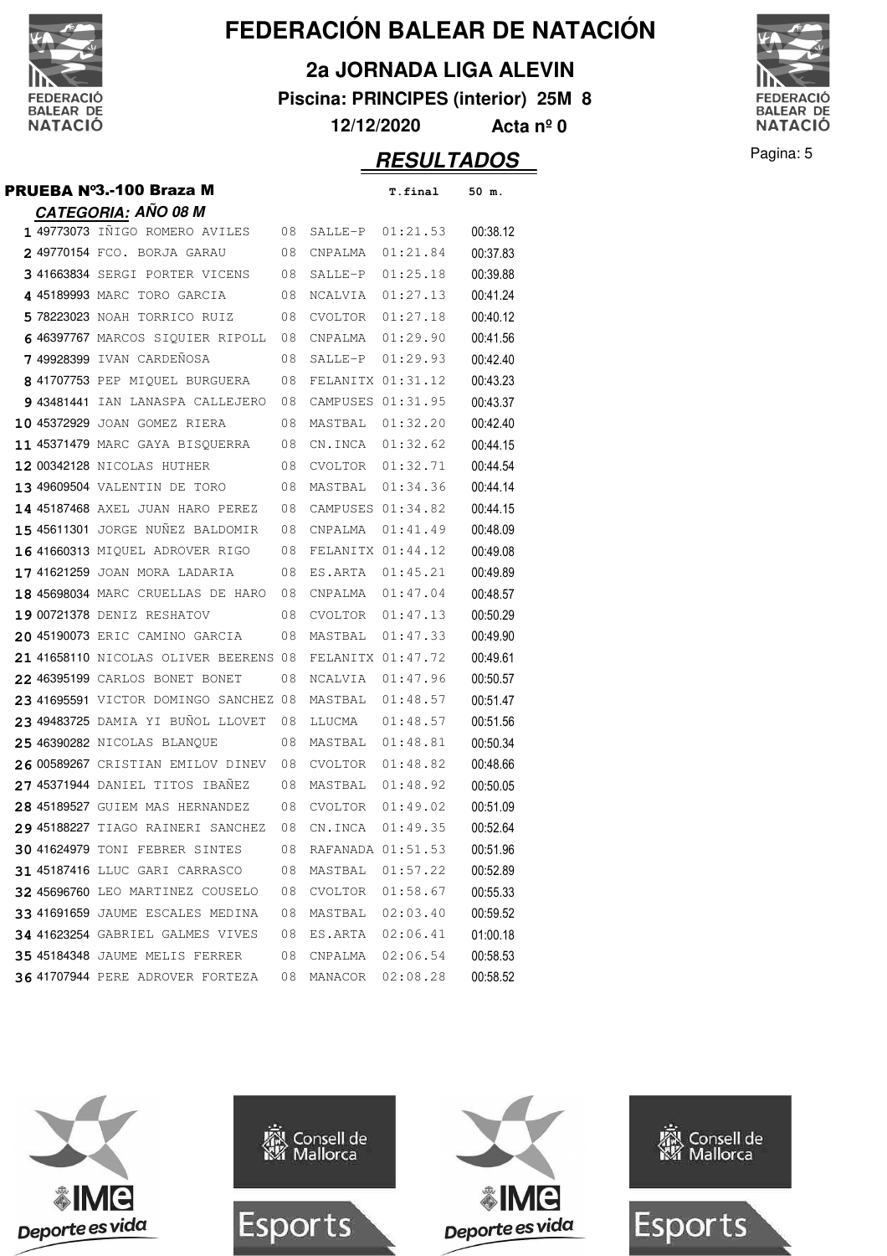

**2a JORNADA LIGA ALEVIN**

**Piscina: PRINCIPES (interior) 25M 8**

**12/12/2020 Acta nº 0**



| <b>PRUEBA Nº3.-100 Braza M</b>           |    |                   | T.final  | 50 m.    |
|------------------------------------------|----|-------------------|----------|----------|
| <u>CATEGORIA:</u> AÑO 08 M               |    |                   |          |          |
| 1 49773073 INIGO ROMERO AVILES           | 08 | SALLE-P           | 01:21.53 | 00:38.12 |
| 2 49770154 FCO. BORJA GARAU              | 08 | CNPALMA           | 01:21.84 | 00:37.83 |
| 3 41663834 SERGI PORTER VICENS           | 08 | SALLE-P           | 01:25.18 | 00:39.88 |
| 4 45189993 MARC TORO GARCIA              | 08 | NCALVIA           | 01:27.13 | 00:41.24 |
| 578223023 NOAH TORRICO RUIZ              | 08 | CVOLTOR           | 01:27.18 | 00:40.12 |
| 6 46397767 MARCOS SIQUIER RIPOLL         | 08 | CNPALMA           | 01:29.90 | 00:41.56 |
| <b>749928399</b> ivan cardeñosa          | 08 | SALLE-P           | 01:29.93 | 00:42.40 |
| 8 41707753 PEP MIQUEL BURGUERA           | 08 | FELANITX 01:31.12 |          | 00:43.23 |
| 9 43481441 IAN LANASPA CALLEJERO         | 08 | CAMPUSES 01:31.95 |          | 00:43.37 |
| 10 45372929 JOAN GOMEZ RIERA             | 08 | MASTBAL           | 01:32.20 | 00:42.40 |
| <b>11 45371479</b> MARC GAYA BISQUERRA   | 08 | CN.INCA           | 01:32.62 | 00:44.15 |
| 12 00342128 NICOLAS HUTHER               | 08 | CVOLTOR           | 01:32.71 | 00:44.54 |
| 13 49609504 VALENTIN DE TORO             | 08 | MASTBAL           | 01:34.36 | 00:44.14 |
| 14 45187468 AXEL JUAN HARO PEREZ         | 08 | CAMPUSES 01:34.82 |          | 00:44.15 |
| 15 45611301 JORGE NUÑEZ BALDOMIR         | 08 | CNPALMA           | 01:41.49 | 00:48.09 |
| 16 41660313 MIQUEL ADROVER RIGO          | 08 | FELANITX 01:44.12 |          | 00:49.08 |
| <b>17 41621259</b> joan mora ladaria     | 08 | ES.ARTA           | 01:45.21 | 00:49.89 |
| <b>18 45698034</b> MARC CRUELLAS DE HARO | 08 | CNPALMA           | 01:47.04 | 00:48.57 |
| 19 00721378 DENIZ RESHATOV               | 08 | CVOLTOR           | 01:47.13 | 00:50.29 |
| 20 45190073 ERIC CAMINO GARCIA           | 08 | MASTBAL           | 01:47.33 | 00:49.90 |
| 21 41658110 NICOLAS OLIVER BEERENS       | 08 | FELANITX 01:47.72 |          | 00:49.61 |
| 22 46395199 CARLOS BONET BONET           | 08 | NCALVIA           | 01:47.96 | 00:50.57 |
| 23 41695591 VICTOR DOMINGO SANCHEZ 08    |    | MASTBAL           | 01:48.57 | 00:51.47 |
| 23 49483725 DAMIA YI BUNOL LLOVET        | 08 | LLUCMA            | 01:48.57 | 00:51.56 |
| <b>25 46390282</b> NICOLAS BLANQUE       | 08 | MASTBAL           | 01:48.81 | 00:50.34 |
| 26 00589267 CRISTIAN EMILOV DINEV        | 08 | CVOLTOR           | 01:48.82 | 00:48.66 |
| 27 45371944 DANIEL TITOS IBAÑEZ          | 08 | MASTBAL           | 01:48.92 | 00:50.05 |
| 28 45189527 GUIEM MAS HERNANDEZ          | 08 | CVOLTOR           | 01:49.02 | 00:51.09 |
| 29 45188227 TIAGO RAINERI SANCHEZ        | 08 | CN.INCA           | 01:49.35 | 00:52.64 |
| <b>30 41624979 TONI FEBRER SINTES</b>    | 08 | RAFANADA 01:51.53 |          | 00:51.96 |
| 31 45187416 LLUC GARI CARRASCO           | 08 | MASTBAL           | 01:57.22 | 00:52.89 |
| 32 45696760 LEO MARTINEZ COUSELO         | 08 | CVOLTOR           | 01:58.67 | 00:55.33 |
| 33 41691659 JAUME ESCALES MEDINA         | 08 | MASTBAL           | 02:03.40 | 00:59.52 |
| <b>34 41623254</b> GABRIEL GALMES VIVES  | 08 | ES.ARTA           | 02:06.41 | 01:00.18 |
| <b>35 45184348</b> JAUME MELIS FERRER    | 08 | CNPALMA           | 02:06.54 | 00:58.53 |
| 36 41707944 PERE ADROVER FORTEZA         | 08 | MANACOR           | 02:08.28 | 00:58.52 |



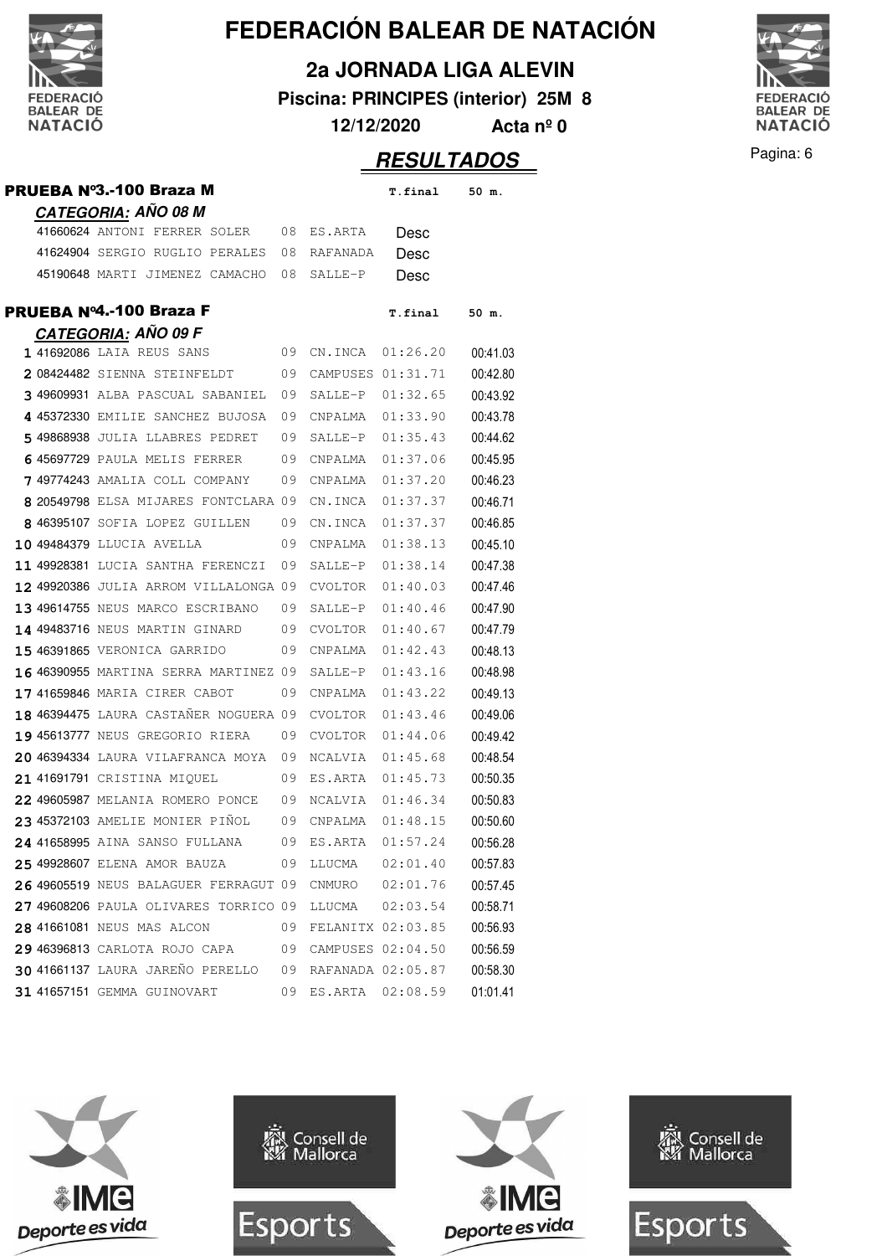

**2a JORNADA LIGA ALEVIN**

**Piscina: PRINCIPES (interior) 25M 8**

**12/12/2020 Acta nº 0**



|                                              |    |                     | <b>RESULTADOS</b> |          | Pagina: 6 |
|----------------------------------------------|----|---------------------|-------------------|----------|-----------|
| PRUEBA Nº3.-100 Braza M                      |    |                     | T.final           | 50 m.    |           |
| <b>CATEGORIA: AÑO 08 M</b>                   |    |                     |                   |          |           |
| 41660624 ANTONI FERRER SOLER                 |    | 08 ES.ARTA          | Desc              |          |           |
| 41624904 SERGIO RUGLIO PERALES               |    | 08 RAFANADA         | Desc              |          |           |
| 45190648 MARTI JIMENEZ CAMACHO               |    | 08 SALLE-P          | Desc              |          |           |
| PRUEBA Nº4.-100 Braza F                      |    |                     | T.final           | 50 m.    |           |
| <b>CATEGORIA: AÑO 09 F</b>                   |    |                     |                   |          |           |
| 1 41692086 LAIA REUS SANS                    |    | 09 CN.INCA          | 01:26.20          | 00:41.03 |           |
| 2 08424482 SIENNA STEINFELDT                 | 09 | CAMPUSES 01:31.71   |                   | 00:42.80 |           |
| 3 49609931 ALBA PASCUAL SABANIEL             | 09 | SALLE-P             | 01:32.65          | 00:43.92 |           |
| 4 45372330 EMILIE SANCHEZ BUJOSA             | 09 | CNPALMA             | 01:33.90          | 00:43.78 |           |
| 5 49868938 JULIA LLABRES PEDRET              | 09 | SALLE-P             | 01:35.43          | 00:44.62 |           |
| 6 45697729 PAULA MELIS FERRER                | 09 | CNPALMA             | 01:37.06          | 00:45.95 |           |
| 749774243 AMALIA COLL COMPANY                | 09 | CNPALMA             | 01:37.20          | 00:46.23 |           |
| 8 20549798 ELSA MIJARES FONTCLARA 09         |    | CN.INCA             | 01:37.37          | 00:46.71 |           |
| 8 46395107 SOFIA LOPEZ GUILLEN               | 09 | CN.INCA             | 01:37.37          | 00:46.85 |           |
| 10 49484379 LLUCIA AVELLA                    | 09 | CNPALMA             | 01:38.13          | 00:45.10 |           |
| 11 49928381 LUCIA SANTHA FERENCZI            | 09 | SALLE-P             | 01:38.14          | 00:47.38 |           |
| <b>12 49920386</b> JULIA ARROM VILLALONGA 09 |    | CVOLTOR             | 01:40.03          | 00:47.46 |           |
| 13 49614755 NEUS MARCO ESCRIBANO             | 09 | SALLE-P             | 01:40.46          | 00:47.90 |           |
| 14 49483716 NEUS MARTIN GINARD               | 09 | CVOLTOR             | 01:40.67          | 00:47.79 |           |
| 15 46391865 VERONICA GARRIDO                 | 09 | CNPALMA             | 01:42.43          | 00:48.13 |           |
| 16 46390955 MARTINA SERRA MARTINEZ 09        |    | SALLE-P             | 01:43.16          | 00:48.98 |           |
| 17 41659846 MARIA CIRER CABOT                | 09 | CNPALMA             | 01:43.22          | 00:49.13 |           |
| 18 46394475 LAURA CASTAÑER NOGUERA 09        |    | CVOLTOR             | 01:43.46          | 00:49.06 |           |
| 19 45613777 NEUS GREGORIO RIERA              | 09 | CVOLTOR             | 01:44.06          | 00:49.42 |           |
| 20 46394334 LAURA VILAFRANCA MOYA 09 NCALVIA |    |                     | 01:45.68          | 00:48.54 |           |
| 21 41691791 CRISTINA MIQUEL                  |    | 09 ES.ARTA          | 01:45.73          | 00:50.35 |           |
| 22 49605987 MELANIA ROMERO PONCE             |    | 09 NCALVIA          | 01:46.34          | 00:50.83 |           |
| 23 45372103 AMELIE MONIER PIÑOL              | 09 | CNPALMA             | 01:48.15          | 00:50.60 |           |
| 24 41658995 AINA SANSO FULLANA               | 09 | ES.ARTA             | 01:57.24          | 00:56.28 |           |
| 25 49928607 ELENA AMOR BAUZA                 | 09 | LLUCMA              | 02:01.40          | 00:57.83 |           |
| 26 49605519 NEUS BALAGUER FERRAGUT 09        |    | CNMURO              | 02:01.76          | 00:57.45 |           |
| 27 49608206 PAULA OLIVARES TORRICO 09        |    | LLUCMA              | 02:03.54          | 00:58.71 |           |
| 28 41661081 NEUS MAS ALCON                   | 09 | FELANITX 02:03.85   |                   | 00:56.93 |           |
| 29 46396813 CARLOTA ROJO CAPA                | 09 |                     | CAMPUSES 02:04.50 | 00:56.59 |           |
| 30 41661137 LAURA JAREÑO PERELLO             | 09 |                     | RAFANADA 02:05.87 | 00:58.30 |           |
| 31 41657151 GEMMA GUINOVART                  |    | 09 ES.ARTA 02:08.59 |                   | 01:01.41 |           |







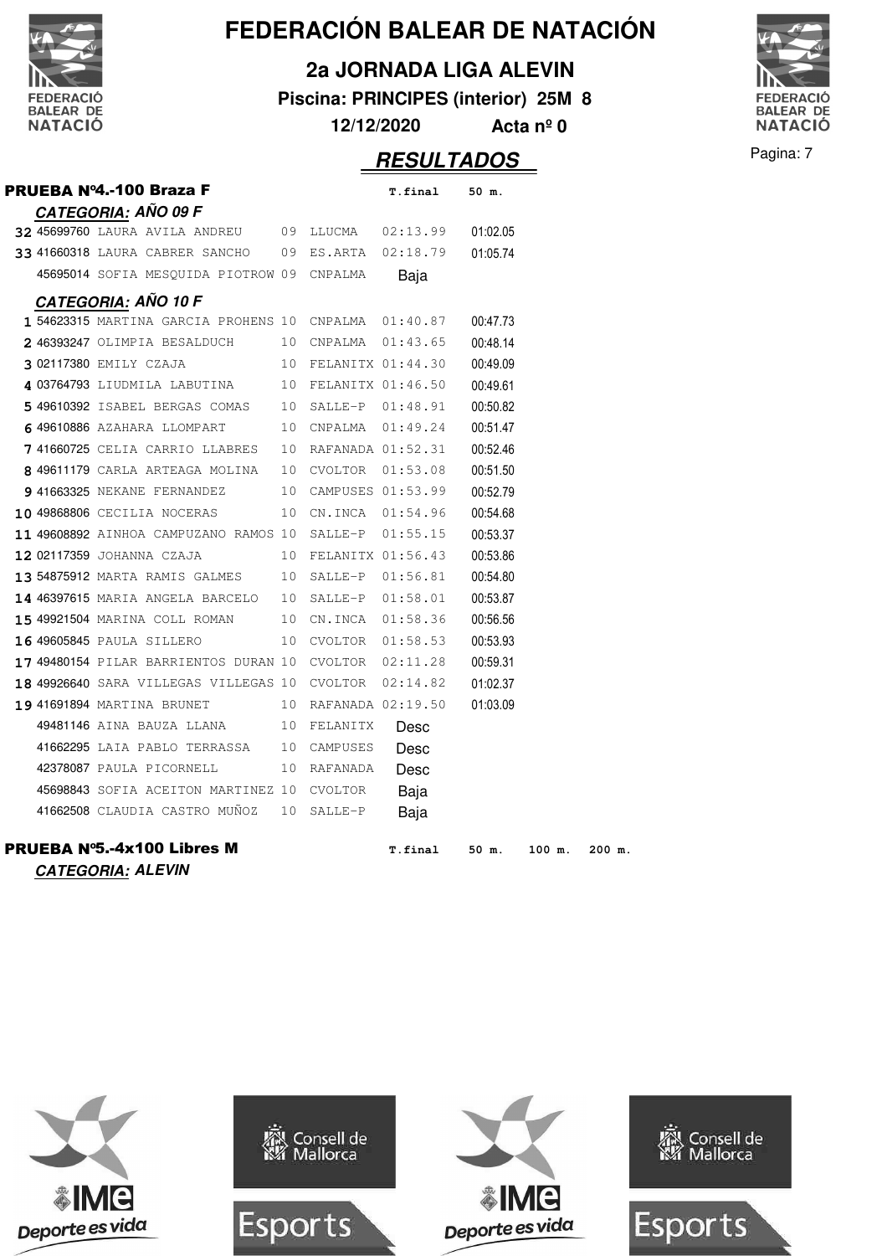

**2a JORNADA LIGA ALEVIN**

**Piscina: PRINCIPES (interior) 25M 8**

**12/12/2020 Acta nº 0**



|  | <b>PRUEBA Nº4.-100 Braza F</b>                                   |    |                      | T.final             | 50 m.    |        |        |
|--|------------------------------------------------------------------|----|----------------------|---------------------|----------|--------|--------|
|  | <b>CATEGORIA: AÑO 09 F</b>                                       |    |                      |                     |          |        |        |
|  | 32 45699760 LAURA AVILA ANDREU 09 LLUCMA 02:13.99                |    |                      |                     | 01:02.05 |        |        |
|  | 33 41660318 LAURA CABRER SANCHO 09 ES.ARTA 02:18.79              |    |                      |                     | 01:05.74 |        |        |
|  | 45695014 SOFIA MESQUIDA PIOTROW 09 CNPALMA                       |    |                      | Baja                |          |        |        |
|  | <b>CATEGORIA: AÑO 10 F</b>                                       |    |                      |                     |          |        |        |
|  | $1\,54623315$ MARTINA GARCIA PROHENS 10 CNPALMA $01\,$ :40.87    |    |                      |                     | 00:47.73 |        |        |
|  | 2 46393247 OLIMPIA BESALDUCH 10 CNPALMA 01:43.65                 |    |                      |                     | 00:48.14 |        |        |
|  | 3 02117380 EMILY CZAJA 10 FELANITX 01:44.30                      |    |                      |                     | 00:49.09 |        |        |
|  | 4 03764793 LIUDMILA LABUTINA 10 FELANITX 01:46.50                |    |                      |                     | 00:49.61 |        |        |
|  | 5 49610392 ISABEL BERGAS COMAS 10 SALLE-P 01:48.91               |    |                      |                     | 00:50.82 |        |        |
|  | 649610886 AZAHARA LLOMPART                                       |    |                      | 10 CNPALMA 01:49.24 | 00:51.47 |        |        |
|  | <b>7</b> 41660725 CELIA CARRIO LLABRES $\,$ 10 RAFANADA 01:52.31 |    |                      |                     | 00:52.46 |        |        |
|  | 8 49611179 CARLA ARTEAGA MOLINA 10 CVOLTOR 01:53.08              |    |                      |                     | 00:51.50 |        |        |
|  | 9 41663325 NEKANE FERNANDEZ 10 CAMPUSES 01:53.99                 |    |                      |                     | 00:52.79 |        |        |
|  | 10 49868806 CECILIA NOCERAS 10 CN.INCA 01:54.96                  |    |                      |                     | 00:54.68 |        |        |
|  | 11 49608892 AINHOA CAMPUZANO RAMOS 10 SALLE-P 01:55.15           |    |                      |                     | 00:53.37 |        |        |
|  | 12 02117359 JOHANNA CZAJA                                        |    | 10 FELANITX 01:56.43 |                     | 00:53.86 |        |        |
|  | 13 54875912 MARTA RAMIS GALMES 10 SALLE-P 01:56.81               |    |                      |                     | 00:54.80 |        |        |
|  | 14 46397615 MARIA ANGELA BARCELO 10 SALLE-P 01:58.01             |    |                      |                     | 00:53.87 |        |        |
|  | 15 49921504 MARINA COLL ROMAN 10 CN.INCA 01:58.36                |    |                      |                     | 00:56.56 |        |        |
|  | 16 49605845 PAULA SILLERO 10 CVOLTOR 01:58.53                    |    |                      |                     | 00:53.93 |        |        |
|  | 17 49480154 PILAR BARRIENTOS DURAN 10 CVOLTOR 02:11.28           |    |                      |                     | 00:59.31 |        |        |
|  | $18$ 49926640 SARA VILLEGAS VILLEGAS 10 CVOLTOR 02:14.82         |    |                      |                     | 01:02.37 |        |        |
|  | 19 41691894 MARTINA BRUNET                                       |    | 10 RAFANADA 02:19.50 |                     | 01:03.09 |        |        |
|  |                                                                  |    |                      | Desc                |          |        |        |
|  | 41662295 LAIA PABLO TERRASSA 10 CAMPUSES                         |    |                      | Desc                |          |        |        |
|  | 42378087 PAULA PICORNELL                                         | 10 | RAFANADA             | Desc                |          |        |        |
|  | 45698843 SOFIA ACEITON MARTINEZ 10 CVOLTOR                       |    |                      | Baja                |          |        |        |
|  | 41662508 CLAUDIA CASTRO MUÑOZ 10 SALLE-P                         |    |                      | Baja                |          |        |        |
|  | PRUEBA Nº5.-4x100 Libres M                                       |    |                      | T.final             | 50 m.    | 100 m. | 200 m. |



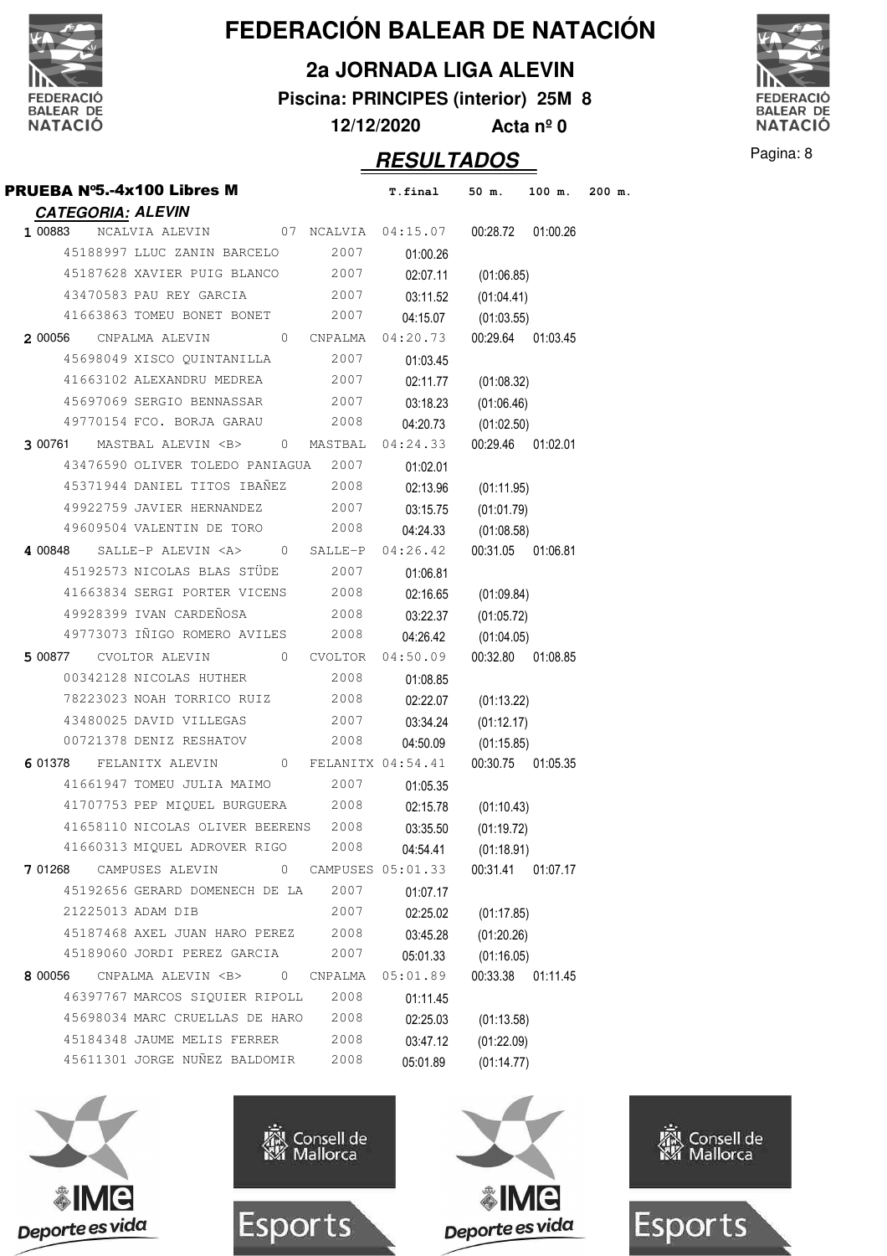

**2a JORNADA LIGA ALEVIN**

**Piscina: PRINCIPES (interior) 25M 8**

**12/12/2020 Acta nº 0**

PRUEBA Nº5.-4x100 Libres M **T.final 50 m. 100 m. 200 m.**



| 1 00883<br>07 NCALVIA<br>04:15.07<br>NCALVIA ALEVIN<br>00:28.72<br>2007<br>45188997 LLUC ZANIN BARCELO<br>01:00.26<br>45187628 XAVIER PUIG BLANCO<br>2007<br>02:07.11<br>(01:06.85)<br>43470583 PAU REY GARCIA<br>2007<br>03:11.52<br>(01:04.41)<br>41663863 TOMEU BONET BONET<br>2007<br>04:15.07<br>(01:03.55)<br>04:20.73<br>00:29.64<br>2 00056<br>CNPALMA ALEVIN<br>0<br>CNPALMA<br>45698049 XISCO QUINTANILLA<br>2007<br>01:03.45<br>41663102 ALEXANDRU MEDREA<br>2007<br>02:11.77<br>(01:08.32)<br>45697069 SERGIO BENNASSAR<br>2007<br>03:18.23<br>(01:06.46)<br>49770154 FCO. BORJA GARAU<br>2008<br>04:20.73<br>(01:02.50)<br>00:29.46<br>3 00761<br>MASTBAL ALEVIN <b><br/>04:24.33<br/>0<br/>MASTBAL<br/>43476590 OLIVER TOLEDO PANIAGUA<br/>2007<br/>01:02.01</b> | 01:00.26<br>01:03.45<br>01:02.01 |
|--------------------------------------------------------------------------------------------------------------------------------------------------------------------------------------------------------------------------------------------------------------------------------------------------------------------------------------------------------------------------------------------------------------------------------------------------------------------------------------------------------------------------------------------------------------------------------------------------------------------------------------------------------------------------------------------------------------------------------------------------------------------------------|----------------------------------|
|                                                                                                                                                                                                                                                                                                                                                                                                                                                                                                                                                                                                                                                                                                                                                                                |                                  |
|                                                                                                                                                                                                                                                                                                                                                                                                                                                                                                                                                                                                                                                                                                                                                                                |                                  |
|                                                                                                                                                                                                                                                                                                                                                                                                                                                                                                                                                                                                                                                                                                                                                                                |                                  |
|                                                                                                                                                                                                                                                                                                                                                                                                                                                                                                                                                                                                                                                                                                                                                                                |                                  |
|                                                                                                                                                                                                                                                                                                                                                                                                                                                                                                                                                                                                                                                                                                                                                                                |                                  |
|                                                                                                                                                                                                                                                                                                                                                                                                                                                                                                                                                                                                                                                                                                                                                                                |                                  |
|                                                                                                                                                                                                                                                                                                                                                                                                                                                                                                                                                                                                                                                                                                                                                                                |                                  |
|                                                                                                                                                                                                                                                                                                                                                                                                                                                                                                                                                                                                                                                                                                                                                                                |                                  |
|                                                                                                                                                                                                                                                                                                                                                                                                                                                                                                                                                                                                                                                                                                                                                                                |                                  |
|                                                                                                                                                                                                                                                                                                                                                                                                                                                                                                                                                                                                                                                                                                                                                                                |                                  |
|                                                                                                                                                                                                                                                                                                                                                                                                                                                                                                                                                                                                                                                                                                                                                                                |                                  |
|                                                                                                                                                                                                                                                                                                                                                                                                                                                                                                                                                                                                                                                                                                                                                                                |                                  |
| 45371944 DANIEL TITOS IBAÑEZ<br>2008<br>02:13.96<br>(01:11.95)                                                                                                                                                                                                                                                                                                                                                                                                                                                                                                                                                                                                                                                                                                                 |                                  |
| 49922759 JAVIER HERNANDEZ<br>2007<br>03:15.75<br>(01:01.79)                                                                                                                                                                                                                                                                                                                                                                                                                                                                                                                                                                                                                                                                                                                    |                                  |
| 49609504 VALENTIN DE TORO<br>2008<br>04:24.33<br>(01:08.58)                                                                                                                                                                                                                                                                                                                                                                                                                                                                                                                                                                                                                                                                                                                    |                                  |
| SALLE-P ALEVIN <a><br/>04:26.42<br/>4 00848<br/><math>\mathbf{0}</math><br/>SALLE-P<br/>00:31.05</a>                                                                                                                                                                                                                                                                                                                                                                                                                                                                                                                                                                                                                                                                           | 01:06.81                         |
| 45192573 NICOLAS BLAS STÜDE<br>2007<br>01:06.81                                                                                                                                                                                                                                                                                                                                                                                                                                                                                                                                                                                                                                                                                                                                |                                  |
| 41663834 SERGI PORTER VICENS<br>2008<br>02:16.65<br>(01:09.84)                                                                                                                                                                                                                                                                                                                                                                                                                                                                                                                                                                                                                                                                                                                 |                                  |
| 49928399 IVAN CARDEÑOSA<br>2008<br>03:22.37<br>(01:05.72)                                                                                                                                                                                                                                                                                                                                                                                                                                                                                                                                                                                                                                                                                                                      |                                  |
| 49773073 IÑIGO ROMERO AVILES<br>2008<br>04:26.42<br>(01:04.05)                                                                                                                                                                                                                                                                                                                                                                                                                                                                                                                                                                                                                                                                                                                 |                                  |
| 5 00877<br>04:50.09<br>00:32.80<br>CVOLTOR ALEVIN<br>$\mathbf{0}$<br><b>CVOLTOR</b>                                                                                                                                                                                                                                                                                                                                                                                                                                                                                                                                                                                                                                                                                            | 01:08.85                         |
| 00342128 NICOLAS HUTHER<br>2008<br>01:08.85                                                                                                                                                                                                                                                                                                                                                                                                                                                                                                                                                                                                                                                                                                                                    |                                  |
| 78223023 NOAH TORRICO RUIZ<br>2008<br>02:22.07<br>(01:13.22)                                                                                                                                                                                                                                                                                                                                                                                                                                                                                                                                                                                                                                                                                                                   |                                  |
| 43480025 DAVID VILLEGAS<br>2007<br>03:34.24<br>(01:12.17)                                                                                                                                                                                                                                                                                                                                                                                                                                                                                                                                                                                                                                                                                                                      |                                  |
| 00721378 DENIZ RESHATOV<br>2008<br>04:50.09<br>(01:15.85)                                                                                                                                                                                                                                                                                                                                                                                                                                                                                                                                                                                                                                                                                                                      |                                  |
| 6 01378<br>FELANITX 04:54.41<br>00:30.75<br>FELANITX ALEVIN<br>$\mathbf{0}$                                                                                                                                                                                                                                                                                                                                                                                                                                                                                                                                                                                                                                                                                                    | 01:05.35                         |
| 41661947 TOMEU JULIA MAIMO<br>2007<br>01:05.35                                                                                                                                                                                                                                                                                                                                                                                                                                                                                                                                                                                                                                                                                                                                 |                                  |
| 41707753 PEP MIQUEL BURGUERA<br>2008<br>02:15.78<br>(01:10.43)                                                                                                                                                                                                                                                                                                                                                                                                                                                                                                                                                                                                                                                                                                                 |                                  |
| 41658110 NICOLAS OLIVER BEERENS<br>2008<br>03:35.50<br>(01:19.72)                                                                                                                                                                                                                                                                                                                                                                                                                                                                                                                                                                                                                                                                                                              |                                  |
| 41660313 MIQUEL ADROVER RIGO<br>2008<br>04:54.41<br>(01:18.91)                                                                                                                                                                                                                                                                                                                                                                                                                                                                                                                                                                                                                                                                                                                 |                                  |
| 7 01268 CAMPUSES ALEVIN 0 CAMPUSES 05:01.33<br>00:31.41 01:07.17                                                                                                                                                                                                                                                                                                                                                                                                                                                                                                                                                                                                                                                                                                               |                                  |
| 45192656 GERARD DOMENECH DE LA<br>2007<br>01:07.17                                                                                                                                                                                                                                                                                                                                                                                                                                                                                                                                                                                                                                                                                                                             |                                  |
| 21225013 ADAM DIB<br>2007<br>02:25.02<br>(01:17.85)                                                                                                                                                                                                                                                                                                                                                                                                                                                                                                                                                                                                                                                                                                                            |                                  |
| 45187468 AXEL JUAN HARO PEREZ<br>2008<br>03:45.28<br>(01:20.26)                                                                                                                                                                                                                                                                                                                                                                                                                                                                                                                                                                                                                                                                                                                |                                  |
| 45189060 JORDI PEREZ GARCIA<br>2007<br>05:01.33<br>(01:16.05)                                                                                                                                                                                                                                                                                                                                                                                                                                                                                                                                                                                                                                                                                                                  |                                  |
| CNPALMA ALEVIN <b><br/><math>\overline{0}</math><br/>05:01.89<br/>00:33.38<br/>CNPALMA<br/>8 00056</b>                                                                                                                                                                                                                                                                                                                                                                                                                                                                                                                                                                                                                                                                         | 01:11.45                         |
| 2008<br>46397767 MARCOS SIOUIER RIPOLL<br>01:11.45                                                                                                                                                                                                                                                                                                                                                                                                                                                                                                                                                                                                                                                                                                                             |                                  |
| 45698034 MARC CRUELLAS DE HARO<br>2008<br>02:25.03<br>(01:13.58)                                                                                                                                                                                                                                                                                                                                                                                                                                                                                                                                                                                                                                                                                                               |                                  |
| 45184348 JAUME MELIS FERRER<br>2008<br>03:47.12<br>(01:22.09)                                                                                                                                                                                                                                                                                                                                                                                                                                                                                                                                                                                                                                                                                                                  |                                  |
|                                                                                                                                                                                                                                                                                                                                                                                                                                                                                                                                                                                                                                                                                                                                                                                |                                  |
| 45611301 JORGE NUÑEZ BALDOMIR<br>2008<br>05:01.89<br>(01:14.77)                                                                                                                                                                                                                                                                                                                                                                                                                                                                                                                                                                                                                                                                                                                |                                  |









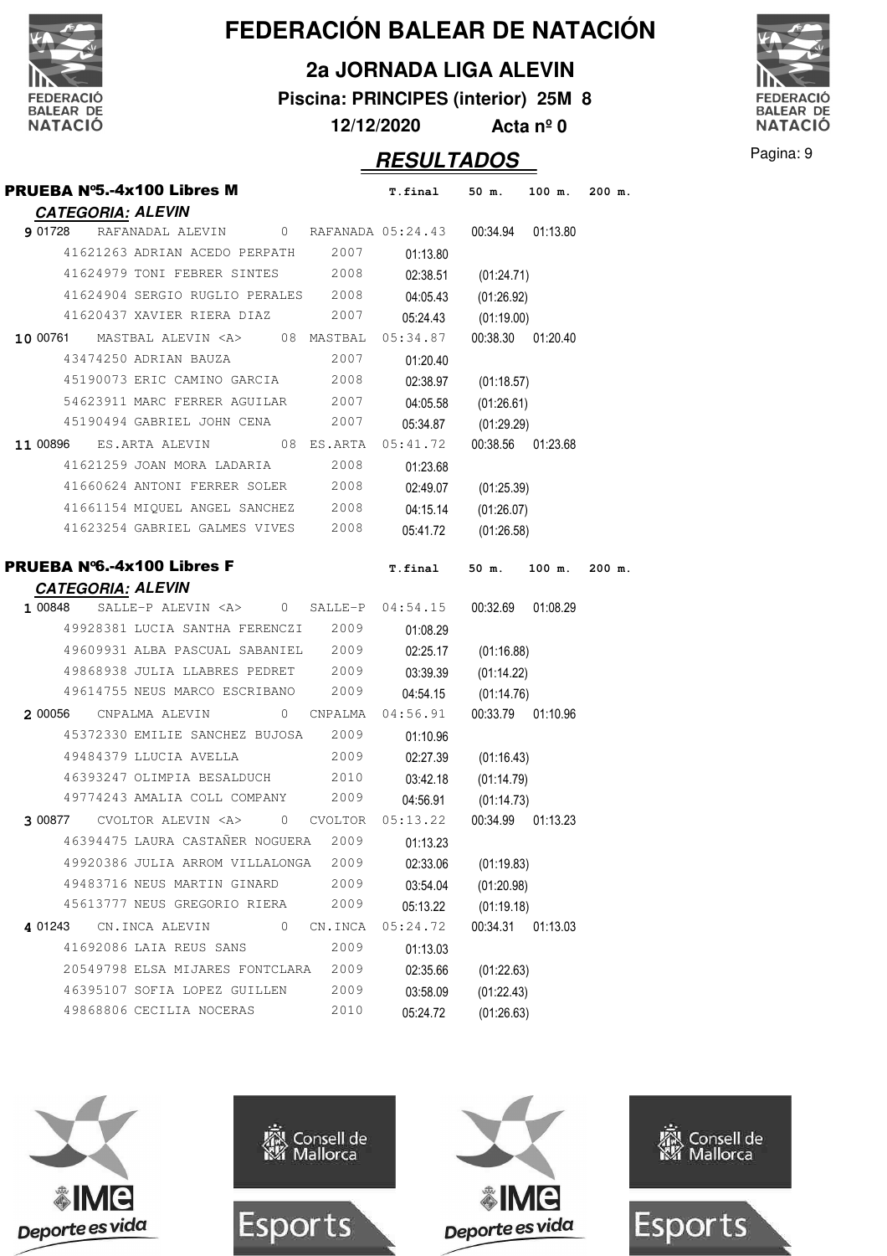|                                                              |                |                   | FEDERACIÓN BALEAR DE NATACIÓN       |            |                    |          |
|--------------------------------------------------------------|----------------|-------------------|-------------------------------------|------------|--------------------|----------|
|                                                              |                |                   | <b>2a JORNADA LIGA ALEVIN</b>       |            |                    |          |
| DERACIÓ                                                      |                |                   | Piscina: PRINCIPES (interior) 25M 8 |            |                    |          |
| <b>BALEAR DE</b><br><b>NATACIÓ</b>                           |                | 12/12/2020        |                                     |            | Acta $n^{\circ}$ 0 |          |
|                                                              |                |                   |                                     |            |                    |          |
|                                                              |                |                   | <b>RESULTADOS</b>                   |            |                    |          |
| <b>PRUEBA N°5.-4x100 Libres M</b>                            |                |                   | T.final                             | 50 m.      | $100$ m.           | 200 m.   |
| <b>CATEGORIA: ALEVIN</b>                                     |                |                   |                                     |            |                    |          |
| RAFANADAL ALEVIN<br>9 01728                                  | $\mathbf{0}$   | RAFANADA 05:24.43 |                                     | 00:34.94   | 01:13.80           |          |
| 41621263 ADRIAN ACEDO PERPATH                                |                | 2007              | 01:13.80                            |            |                    |          |
| 41624979 TONI FEBRER SINTES                                  |                | 2008              | 02:38.51                            | (01:24.71) |                    |          |
| 41624904 SERGIO RUGLIO PERALES<br>41620437 XAVIER RIERA DIAZ |                | 2008<br>2007      | 04:05.43                            | (01:26.92) |                    |          |
|                                                              |                |                   | 05:24.43                            | (01:19.00) |                    |          |
| 10 00761<br>MASTBAL ALEVIN <a></a>                           |                | 08 MASTBAL        | 05:34.87                            | 00:38.30   | 01:20.40           |          |
| 43474250 ADRIAN BAUZA                                        |                | 2007              | 01:20.40                            |            |                    |          |
| 45190073 ERIC CAMINO GARCIA                                  |                | 2008              | 02:38.97                            | (01:18.57) |                    |          |
| 54623911 MARC FERRER AGUILAR<br>45190494 GABRIEL JOHN CENA   |                | 2007<br>2007      | 04:05.58                            | (01:26.61) |                    |          |
|                                                              |                |                   | 05:34.87                            | (01:29.29) |                    |          |
| 11 00896<br>ES.ARTA ALEVIN                                   |                | 08 ES.ARTA        | 05:41.72                            | 00:38.56   | 01:23.68           |          |
| 41621259 JOAN MORA LADARIA                                   |                | 2008              | 01:23.68                            |            |                    |          |
| 41660624 ANTONI FERRER SOLER                                 |                | 2008              | 02:49.07                            | (01:25.39) |                    |          |
| 41661154 MIQUEL ANGEL SANCHEZ                                |                | 2008              | 04:15.14                            | (01:26.07) |                    |          |
| 41623254 GABRIEL GALMES VIVES                                |                | 2008              | 05:41.72                            | (01:26.58) |                    |          |
| <b>PRUEBA N°6.-4x100 Libres F</b>                            |                |                   | T.final                             |            | 50 m. 100 m.       | $200$ m. |
| <b>CATEGORIA: ALEVIN</b>                                     |                |                   |                                     |            |                    |          |
| 1 00848<br>SALLE-P ALEVIN <a></a>                            | $\mathbf{0}$   | SALLE-P           | 04:54.15                            | 00:32.69   | 01:08.29           |          |
| 49928381 LUCIA SANTHA FERENCZI                               |                | 2009              | 01:08.29                            |            |                    |          |
| 49609931 ALBA PASCUAL SABANIEL                               |                | 2009              | 02:25.17                            | (01:16.88) |                    |          |
| 49868938 JULIA LLABRES PEDRET                                |                | 2009              | 03:39.39                            | (01:14.22) |                    |          |
| 49614755 NEUS MARCO ESCRIBANO                                |                | 2009              | 04:54.15                            | (01:14.76) |                    |          |
| 2 00056    CNPALMA ALEVIN                                    | $\circ$        | CNPALMA           | 04:56.91                            | 00:33.79   | 01:10.96           |          |
| 45372330 EMILIE SANCHEZ BUJOSA                               |                | 2009              | 01:10.96                            |            |                    |          |
| 49484379 LLUCIA AVELLA                                       |                | 2009              | 02:27.39                            | (01:16.43) |                    |          |
| 46393247 OLIMPIA BESALDUCH                                   |                | 2010              | 03:42.18                            | (01:14.79) |                    |          |
| 49774243 AMALIA COLL COMPANY                                 |                | 2009              | 04:56.91                            | (01:14.73) |                    |          |
| 3 00877 CVOLTOR ALEVIN <a> 0</a>                             |                | <b>CVOLTOR</b>    | 05:13.22                            | 00:34.99   | 01:13.23           |          |
| 46394475 LAURA CASTAÑER NOGUERA                              |                | 2009              | 01:13.23                            |            |                    |          |
| 49920386 JULIA ARROM VILLALONGA                              |                | 2009              | 02:33.06                            | (01:19.83) |                    |          |
| 49483716 NEUS MARTIN GINARD                                  |                | 2009              | 03:54.04                            | (01:20.98) |                    |          |
| 45613777 NEUS GREGORIO RIERA                                 |                | 2009              | 05:13.22                            | (01:19.18) |                    |          |
| CN.INCA ALEVIN<br>4 01243                                    | $\overline{0}$ | CN.INCA           | 05:24.72                            | 00:34.31   | 01:13.03           |          |
| 41692086 LAIA REUS SANS                                      |                | 2009              | 01:13.03                            |            |                    |          |
| 20549798 ELSA MIJARES FONTCLARA                              |                | 2009              | 02:35.66                            | (01:22.63) |                    |          |
| 46395107 SOFIA LOPEZ GUILLEN                                 |                | 2009              | 03:58.09                            | (01:22.43) |                    |          |
| 49868806 CECILIA NOCERAS                                     |                | 2010              | 05:24.72                            | (01:26.63) |                    |          |











Pagina: 9